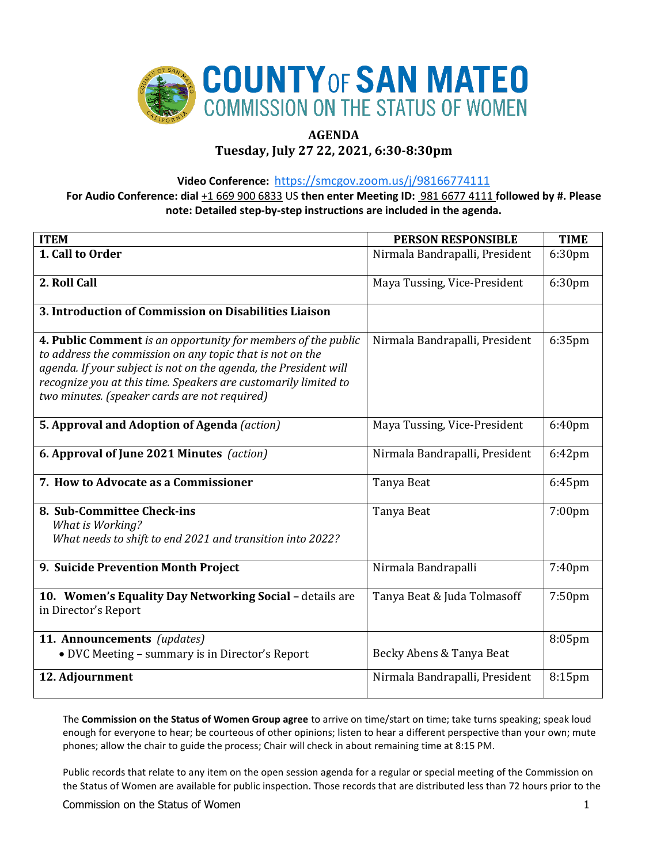

# **AGENDA**

# **Tuesday, July 27 22, 2021, 6:30-8:30pm**

**Video Conference:** <https://smcgov.zoom.us/j/98166774111>

**For Audio Conference: dial** +1 669 900 6833 US **then enter Meeting ID:** 981 6677 4111 **followed by #. Please note: Detailed step-by-step instructions are included in the agenda.**

| <b>ITEM</b>                                                                                                                                                                                                                                                                                                        | <b>PERSON RESPONSIBLE</b>      | <b>TIME</b>        |
|--------------------------------------------------------------------------------------------------------------------------------------------------------------------------------------------------------------------------------------------------------------------------------------------------------------------|--------------------------------|--------------------|
| 1. Call to Order                                                                                                                                                                                                                                                                                                   | Nirmala Bandrapalli, President | 6:30pm             |
| 2. Roll Call                                                                                                                                                                                                                                                                                                       | Maya Tussing, Vice-President   | 6:30pm             |
| 3. Introduction of Commission on Disabilities Liaison                                                                                                                                                                                                                                                              |                                |                    |
| 4. Public Comment is an opportunity for members of the public<br>to address the commission on any topic that is not on the<br>agenda. If your subject is not on the agenda, the President will<br>recognize you at this time. Speakers are customarily limited to<br>two minutes. (speaker cards are not required) | Nirmala Bandrapalli, President | $6:35$ pm          |
| 5. Approval and Adoption of Agenda (action)                                                                                                                                                                                                                                                                        | Maya Tussing, Vice-President   | 6:40pm             |
| 6. Approval of June 2021 Minutes (action)                                                                                                                                                                                                                                                                          | Nirmala Bandrapalli, President | $6:42$ pm          |
| 7. How to Advocate as a Commissioner                                                                                                                                                                                                                                                                               | Tanya Beat                     | 6:45pm             |
| 8. Sub-Committee Check-ins<br>What is Working?<br>What needs to shift to end 2021 and transition into 2022?                                                                                                                                                                                                        | Tanya Beat                     | 7:00pm             |
| 9. Suicide Prevention Month Project                                                                                                                                                                                                                                                                                | Nirmala Bandrapalli            | 7:40pm             |
| 10. Women's Equality Day Networking Social - details are<br>in Director's Report                                                                                                                                                                                                                                   | Tanya Beat & Juda Tolmasoff    | 7:50 <sub>pm</sub> |
| 11. Announcements (updates)<br>• DVC Meeting - summary is in Director's Report                                                                                                                                                                                                                                     | Becky Abens & Tanya Beat       | $8:05$ pm          |
| 12. Adjournment                                                                                                                                                                                                                                                                                                    | Nirmala Bandrapalli, President | 8:15 <sub>pm</sub> |

The **Commission on the Status of Women Group agree** to arrive on time/start on time; take turns speaking; speak loud enough for everyone to hear; be courteous of other opinions; listen to hear a different perspective than your own; mute phones; allow the chair to guide the process; Chair will check in about remaining time at 8:15 PM.

Public records that relate to any item on the open session agenda for a regular or special meeting of the Commission on the Status of Women are available for public inspection. Those records that are distributed less than 72 hours prior to the

Commission on the Status of Women 1 and 200 minutes of the Status of Women 1 and 200 minutes of the Status of Women 1 and 200 minutes of the Status of Women 1 and 200 minutes of the Status of Women 1 and 200 minutes of the